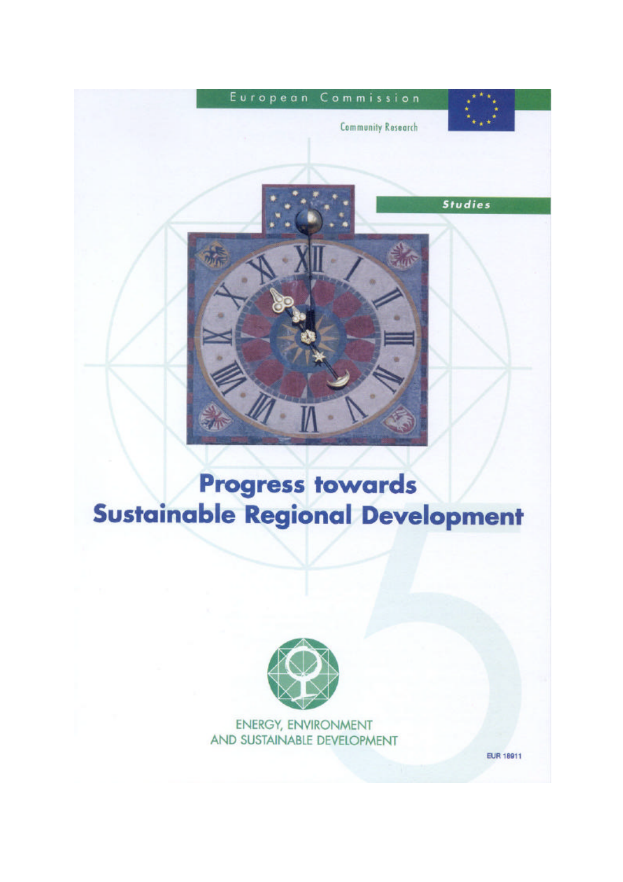

# **Progress towards Sustainable Regional Development**



ENERGY, ENVIRONMENT AND SUSTAINABLE DEVELOPMENT

**EUR 18911**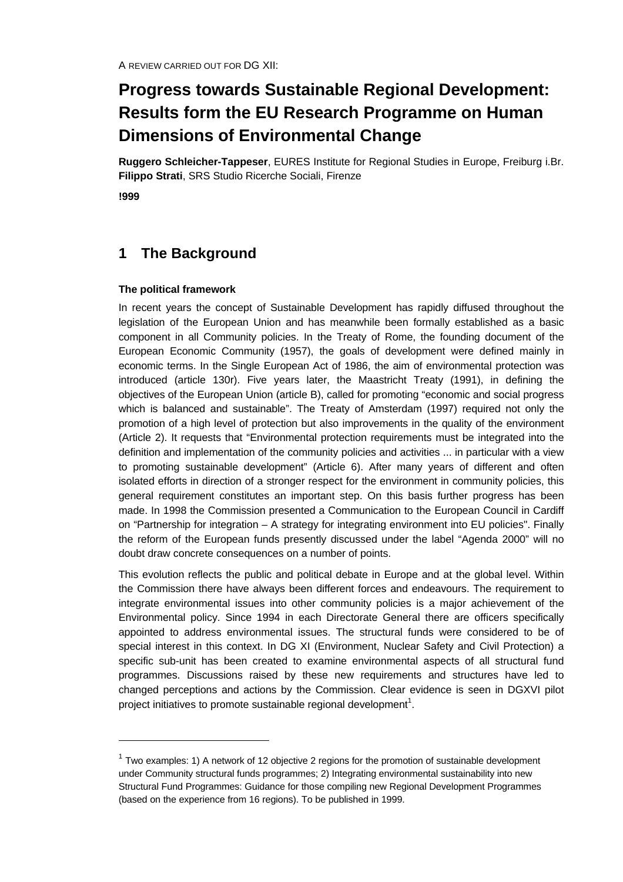# **Progress towards Sustainable Regional Development: Results form the EU Research Programme on Human Dimensions of Environmental Change**

**Ruggero Schleicher-Tappeser**, EURES Institute for Regional Studies in Europe, Freiburg i.Br. **Filippo Strati**, SRS Studio Ricerche Sociali, Firenze

**!999**

-

# **1 The Background**

#### **The political framework**

In recent years the concept of Sustainable Development has rapidly diffused throughout the legislation of the European Union and has meanwhile been formally established as a basic component in all Community policies. In the Treaty of Rome, the founding document of the European Economic Community (1957), the goals of development were defined mainly in economic terms. In the Single European Act of 1986, the aim of environmental protection was introduced (article 130r). Five years later, the Maastricht Treaty (1991), in defining the objectives of the European Union (article B), called for promoting "economic and social progress which is balanced and sustainable". The Treaty of Amsterdam (1997) required not only the promotion of a high level of protection but also improvements in the quality of the environment (Article 2). It requests that "Environmental protection requirements must be integrated into the definition and implementation of the community policies and activities ... in particular with a view to promoting sustainable development" (Article 6). After many years of different and often isolated efforts in direction of a stronger respect for the environment in community policies, this general requirement constitutes an important step. On this basis further progress has been made. In 1998 the Commission presented a Communication to the European Council in Cardiff on "Partnership for integration – A strategy for integrating environment into EU policies". Finally the reform of the European funds presently discussed under the label "Agenda 2000" will no doubt draw concrete consequences on a number of points.

This evolution reflects the public and political debate in Europe and at the global level. Within the Commission there have always been different forces and endeavours. The requirement to integrate environmental issues into other community policies is a major achievement of the Environmental policy. Since 1994 in each Directorate General there are officers specifically appointed to address environmental issues. The structural funds were considered to be of special interest in this context. In DG XI (Environment, Nuclear Safety and Civil Protection) a specific sub-unit has been created to examine environmental aspects of all structural fund programmes. Discussions raised by these new requirements and structures have led to changed perceptions and actions by the Commission. Clear evidence is seen in DGXVI pilot project initiatives to promote sustainable regional development<sup>1</sup>.

 $1$  Two examples: 1) A network of 12 objective 2 regions for the promotion of sustainable development under Community structural funds programmes; 2) Integrating environmental sustainability into new Structural Fund Programmes: Guidance for those compiling new Regional Development Programmes (based on the experience from 16 regions). To be published in 1999.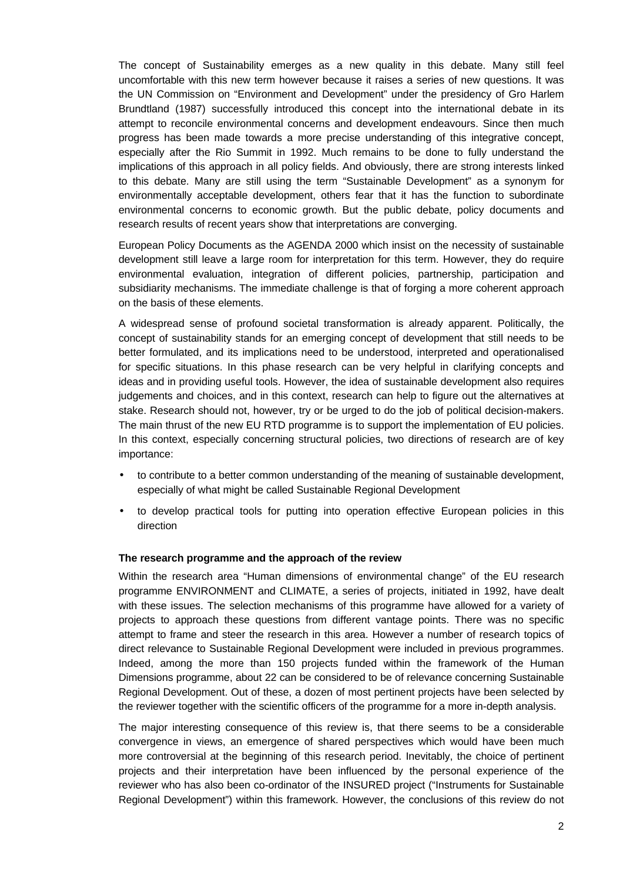The concept of Sustainability emerges as a new quality in this debate. Many still feel uncomfortable with this new term however because it raises a series of new questions. It was the UN Commission on "Environment and Development" under the presidency of Gro Harlem Brundtland (1987) successfully introduced this concept into the international debate in its attempt to reconcile environmental concerns and development endeavours. Since then much progress has been made towards a more precise understanding of this integrative concept, especially after the Rio Summit in 1992. Much remains to be done to fully understand the implications of this approach in all policy fields. And obviously, there are strong interests linked to this debate. Many are still using the term "Sustainable Development" as a synonym for environmentally acceptable development, others fear that it has the function to subordinate environmental concerns to economic growth. But the public debate, policy documents and research results of recent years show that interpretations are converging.

European Policy Documents as the AGENDA 2000 which insist on the necessity of sustainable development still leave a large room for interpretation for this term. However, they do require environmental evaluation, integration of different policies, partnership, participation and subsidiarity mechanisms. The immediate challenge is that of forging a more coherent approach on the basis of these elements.

A widespread sense of profound societal transformation is already apparent. Politically, the concept of sustainability stands for an emerging concept of development that still needs to be better formulated, and its implications need to be understood, interpreted and operationalised for specific situations. In this phase research can be very helpful in clarifying concepts and ideas and in providing useful tools. However, the idea of sustainable development also requires judgements and choices, and in this context, research can help to figure out the alternatives at stake. Research should not, however, try or be urged to do the job of political decision-makers. The main thrust of the new EU RTD programme is to support the implementation of EU policies. In this context, especially concerning structural policies, two directions of research are of key importance:

- to contribute to a better common understanding of the meaning of sustainable development, especially of what might be called Sustainable Regional Development
- to develop practical tools for putting into operation effective European policies in this direction

#### **The research programme and the approach of the review**

Within the research area "Human dimensions of environmental change" of the EU research programme ENVIRONMENT and CLIMATE, a series of projects, initiated in 1992, have dealt with these issues. The selection mechanisms of this programme have allowed for a variety of projects to approach these questions from different vantage points. There was no specific attempt to frame and steer the research in this area. However a number of research topics of direct relevance to Sustainable Regional Development were included in previous programmes. Indeed, among the more than 150 projects funded within the framework of the Human Dimensions programme, about 22 can be considered to be of relevance concerning Sustainable Regional Development. Out of these, a dozen of most pertinent projects have been selected by the reviewer together with the scientific officers of the programme for a more in-depth analysis.

The major interesting consequence of this review is, that there seems to be a considerable convergence in views, an emergence of shared perspectives which would have been much more controversial at the beginning of this research period. Inevitably, the choice of pertinent projects and their interpretation have been influenced by the personal experience of the reviewer who has also been co-ordinator of the INSURED project ("Instruments for Sustainable Regional Development") within this framework. However, the conclusions of this review do not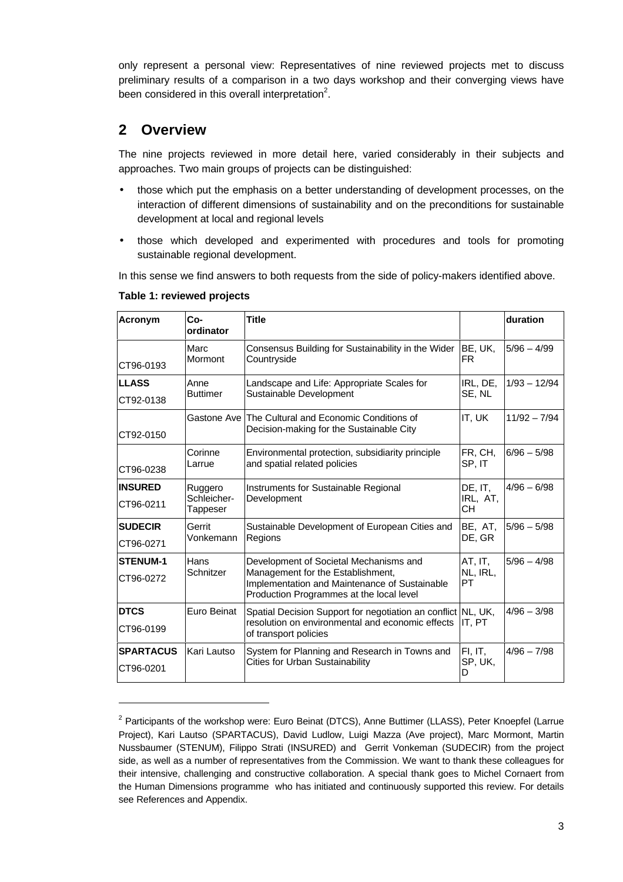only represent a personal view: Representatives of nine reviewed projects met to discuss preliminary results of a comparison in a two days workshop and their converging views have been considered in this overall interpretation<sup>2</sup>.

# **2 Overview**

The nine projects reviewed in more detail here, varied considerably in their subjects and approaches. Two main groups of projects can be distinguished:

- those which put the emphasis on a better understanding of development processes, on the interaction of different dimensions of sustainability and on the preconditions for sustainable development at local and regional levels
- those which developed and experimented with procedures and tools for promoting sustainable regional development.

In this sense we find answers to both requests from the side of policy-makers identified above.

| Acronym          | $Co-$<br>ordinator      | <b>Title</b>                                                                                                                   |                   | duration       |
|------------------|-------------------------|--------------------------------------------------------------------------------------------------------------------------------|-------------------|----------------|
| CT96-0193        | Marc<br>Mormont         | Consensus Building for Sustainability in the Wider<br>Countryside                                                              | BE, UK,<br>FR.    | $5/96 - 4/99$  |
| <b>LLASS</b>     | Anne                    | Landscape and Life: Appropriate Scales for                                                                                     | IRL, DE,          | $1/93 - 12/94$ |
| CT92-0138        | <b>Buttimer</b>         | Sustainable Development                                                                                                        | SE, NL            |                |
|                  |                         | Gastone Ave The Cultural and Economic Conditions of                                                                            | IT, UK            | $11/92 - 7/94$ |
| CT92-0150        |                         | Decision-making for the Sustainable City                                                                                       |                   |                |
| CT96-0238        | Corinne<br>Larrue       | Environmental protection, subsidiarity principle<br>and spatial related policies                                               | FR, CH,<br>SP, IT | $6/96 - 5/98$  |
| <b>INSURED</b>   | Ruggero                 | Instruments for Sustainable Regional                                                                                           | DE, IT,           | $4/96 - 6/98$  |
| CT96-0211        | Schleicher-<br>Tappeser | Development                                                                                                                    | IRL, AT,<br>CН    |                |
| <b>SUDECIR</b>   | Gerrit                  | Sustainable Development of European Cities and                                                                                 |                   | $5/96 - 5/98$  |
| CT96-0271        | Vonkemann               | Regions                                                                                                                        | DE, GR            |                |
| <b>STENUM-1</b>  | Hans                    | Development of Societal Mechanisms and                                                                                         | AT, IT,           | $5/96 - 4/98$  |
| CT96-0272        | Schnitzer               | Management for the Establishment,<br>Implementation and Maintenance of Sustainable<br>Production Programmes at the local level | NL, IRL,<br>PT    |                |
| <b>DTCS</b>      | Euro Beinat             | Spatial Decision Support for negotiation an conflict NL, UK,                                                                   |                   | $4/96 - 3/98$  |
| CT96-0199        |                         | resolution on environmental and economic effects<br>of transport policies                                                      | IT, PT            |                |
| <b>SPARTACUS</b> | Kari Lautso             | System for Planning and Research in Towns and                                                                                  | FI, IT,           | $4/96 - 7/98$  |
| CT96-0201        |                         | <b>Cities for Urban Sustainability</b>                                                                                         | SP, UK,<br>D      |                |

**Table 1: reviewed projects**

-

<sup>&</sup>lt;sup>2</sup> Participants of the workshop were: Euro Beinat (DTCS), Anne Buttimer (LLASS), Peter Knoepfel (Larrue Project), Kari Lautso (SPARTACUS), David Ludlow, Luigi Mazza (Ave project), Marc Mormont, Martin Nussbaumer (STENUM), Filippo Strati (INSURED) and Gerrit Vonkeman (SUDECIR) from the project side, as well as a number of representatives from the Commission. We want to thank these colleagues for their intensive, challenging and constructive collaboration. A special thank goes to Michel Cornaert from the Human Dimensions programme who has initiated and continuously supported this review. For details see References and Appendix.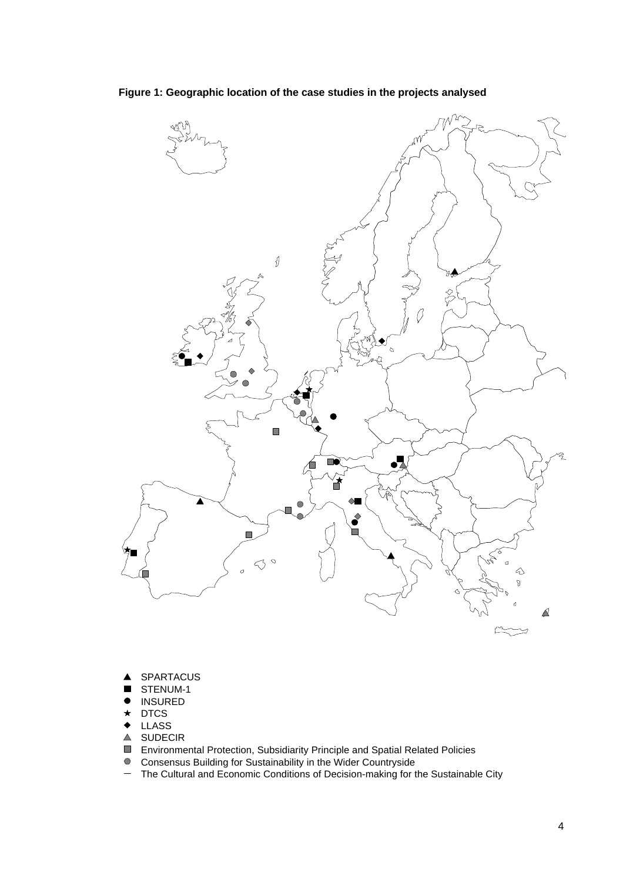

**Figure 1: Geographic location of the case studies in the projects analysed**

- SPARTACUS ▲
- STENUM-1  $\blacksquare$
- $\bullet$ INSURED
- $\star$ DTCS
- LLASS  $\bullet$
- **△ SUDECIR**
- Environmental Protection, Subsidiarity Principle and Spatial Related Policies
- Consensus Building for Sustainability in the Wider Countryside
- $\qquad \qquad -$ The Cultural and Economic Conditions of Decision-making for the Sustainable City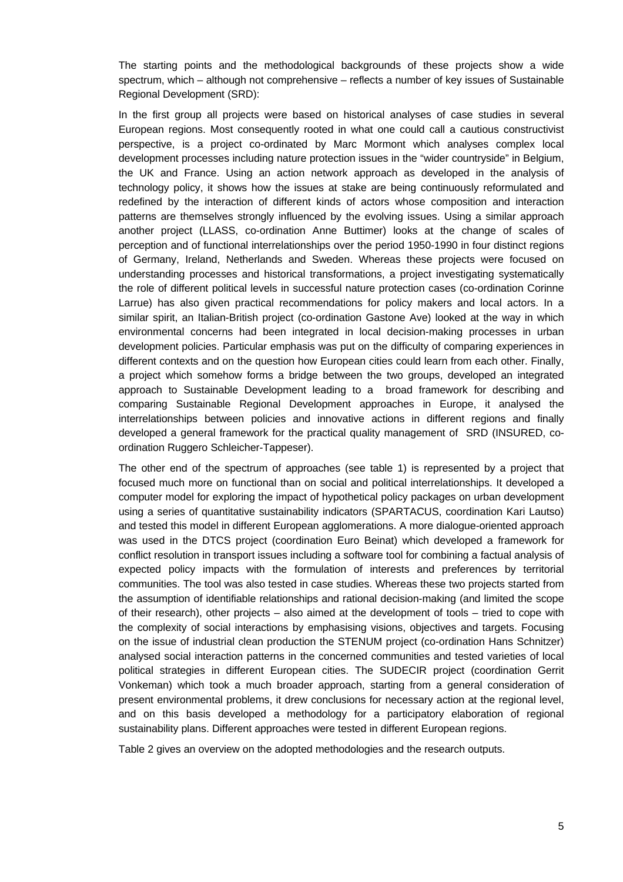The starting points and the methodological backgrounds of these projects show a wide spectrum, which – although not comprehensive – reflects a number of key issues of Sustainable Regional Development (SRD):

In the first group all projects were based on historical analyses of case studies in several European regions. Most consequently rooted in what one could call a cautious constructivist perspective, is a project co-ordinated by Marc Mormont which analyses complex local development processes including nature protection issues in the "wider countryside" in Belgium, the UK and France. Using an action network approach as developed in the analysis of technology policy, it shows how the issues at stake are being continuously reformulated and redefined by the interaction of different kinds of actors whose composition and interaction patterns are themselves strongly influenced by the evolving issues. Using a similar approach another project (LLASS, co-ordination Anne Buttimer) looks at the change of scales of perception and of functional interrelationships over the period 1950-1990 in four distinct regions of Germany, Ireland, Netherlands and Sweden. Whereas these projects were focused on understanding processes and historical transformations, a project investigating systematically the role of different political levels in successful nature protection cases (co-ordination Corinne Larrue) has also given practical recommendations for policy makers and local actors. In a similar spirit, an Italian-British project (co-ordination Gastone Ave) looked at the way in which environmental concerns had been integrated in local decision-making processes in urban development policies. Particular emphasis was put on the difficulty of comparing experiences in different contexts and on the question how European cities could learn from each other. Finally, a project which somehow forms a bridge between the two groups, developed an integrated approach to Sustainable Development leading to a broad framework for describing and comparing Sustainable Regional Development approaches in Europe, it analysed the interrelationships between policies and innovative actions in different regions and finally developed a general framework for the practical quality management of SRD (INSURED, coordination Ruggero Schleicher-Tappeser).

The other end of the spectrum of approaches (see table 1) is represented by a project that focused much more on functional than on social and political interrelationships. It developed a computer model for exploring the impact of hypothetical policy packages on urban development using a series of quantitative sustainability indicators (SPARTACUS, coordination Kari Lautso) and tested this model in different European agglomerations. A more dialogue-oriented approach was used in the DTCS project (coordination Euro Beinat) which developed a framework for conflict resolution in transport issues including a software tool for combining a factual analysis of expected policy impacts with the formulation of interests and preferences by territorial communities. The tool was also tested in case studies. Whereas these two projects started from the assumption of identifiable relationships and rational decision-making (and limited the scope of their research), other projects – also aimed at the development of tools – tried to cope with the complexity of social interactions by emphasising visions, objectives and targets. Focusing on the issue of industrial clean production the STENUM project (co-ordination Hans Schnitzer) analysed social interaction patterns in the concerned communities and tested varieties of local political strategies in different European cities. The SUDECIR project (coordination Gerrit Vonkeman) which took a much broader approach, starting from a general consideration of present environmental problems, it drew conclusions for necessary action at the regional level, and on this basis developed a methodology for a participatory elaboration of regional sustainability plans. Different approaches were tested in different European regions.

Table 2 gives an overview on the adopted methodologies and the research outputs.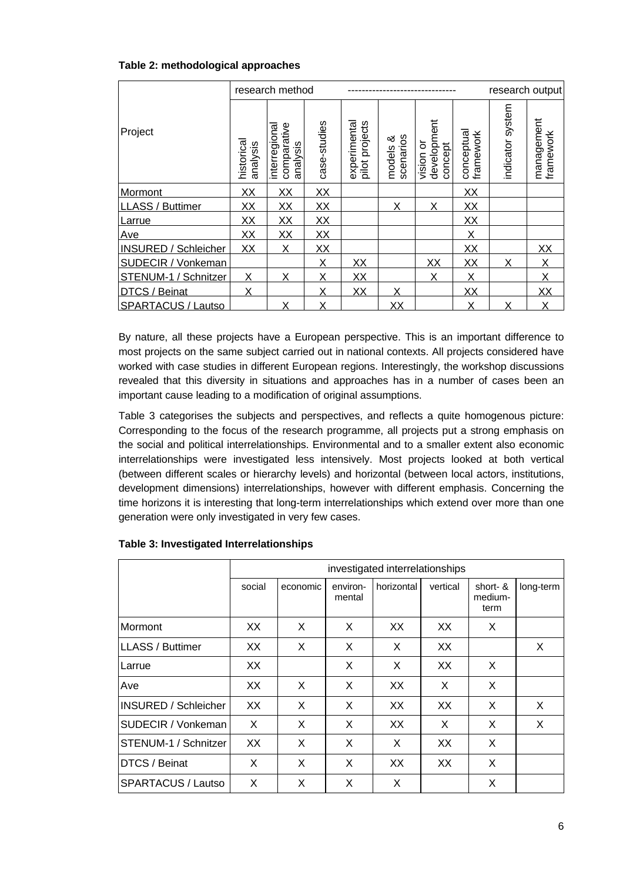|  |  | Table 2: methodological approaches |  |
|--|--|------------------------------------|--|
|--|--|------------------------------------|--|

|                             |                       | research method                         |              |                               |                          |                                       |                         | research output     |                         |
|-----------------------------|-----------------------|-----------------------------------------|--------------|-------------------------------|--------------------------|---------------------------------------|-------------------------|---------------------|-------------------------|
| Project                     | historica<br>analysis | comparative<br>interregiona<br>analysis | case-studies | pilot projects<br>experimenta | scenarios<br>య<br>models | development<br>১<br>concept<br>vision | conceptual<br>framework | system<br>indicator | management<br>framework |
| Mormont                     | XX                    | XX                                      | XX           |                               |                          |                                       | XX                      |                     |                         |
| LLASS / Buttimer            | XX                    | XX                                      | XX           |                               | X                        | X                                     | XX                      |                     |                         |
| Larrue                      | XX                    | XX                                      | XX           |                               |                          |                                       | XX                      |                     |                         |
| Ave                         | XX                    | XX                                      | XX           |                               |                          |                                       | X                       |                     |                         |
| <b>INSURED / Schleicher</b> | XX                    | X                                       | XX           |                               |                          |                                       | XX                      |                     | XX                      |
| SUDECIR / Vonkeman          |                       |                                         | Χ            | XX                            |                          | XX                                    | XX                      | X                   | Χ                       |
| STENUM-1 /<br>Schnitzer     | Χ                     | Χ                                       | Χ            | XX                            |                          | Χ                                     | X                       |                     | X                       |
| DTCS / Beinat               | X                     |                                         | X            | XX                            | X                        |                                       | XX                      |                     | XX                      |
| <b>SPARTACUS / Lautso</b>   |                       | Χ                                       | Χ            |                               | XX                       |                                       | X                       | X                   | X                       |

By nature, all these projects have a European perspective. This is an important difference to most projects on the same subject carried out in national contexts. All projects considered have worked with case studies in different European regions. Interestingly, the workshop discussions revealed that this diversity in situations and approaches has in a number of cases been an important cause leading to a modification of original assumptions.

Table 3 categorises the subjects and perspectives, and reflects a quite homogenous picture: Corresponding to the focus of the research programme, all projects put a strong emphasis on the social and political interrelationships. Environmental and to a smaller extent also economic interrelationships were investigated less intensively. Most projects looked at both vertical (between different scales or hierarchy levels) and horizontal (between local actors, institutions, development dimensions) interrelationships, however with different emphasis. Concerning the time horizons it is interesting that long-term interrelationships which extend over more than one generation were only investigated in very few cases.

|                             | investigated interrelationships |          |                    |            |          |                             |           |  |  |  |  |
|-----------------------------|---------------------------------|----------|--------------------|------------|----------|-----------------------------|-----------|--|--|--|--|
|                             | social                          | economic | environ-<br>mental | horizontal | vertical | short- &<br>medium-<br>term | long-term |  |  |  |  |
| Mormont                     | XX                              | X        | X                  | XX         | XX       | X                           |           |  |  |  |  |
| <b>LLASS / Buttimer</b>     | XX                              | X        | X                  | X          | XX       |                             | X         |  |  |  |  |
| Larrue                      | XX                              |          | X                  | X          | XX       | X                           |           |  |  |  |  |
| Ave                         | XX                              | X        | X                  | <b>XX</b>  | X        | X                           |           |  |  |  |  |
| <b>INSURED / Schleicher</b> | XX                              | X        | X                  | XX         | XX       | X                           | X         |  |  |  |  |
| <b>SUDECIR / Vonkeman</b>   | X                               | X        | X                  | XX         | X        | X                           | X         |  |  |  |  |
| STENUM-1 / Schnitzer        | XX                              | X        | X                  | X          | XX       | X                           |           |  |  |  |  |
| <b>DTCS / Beinat</b>        | X                               | X        | X                  | XX         | XX       | X                           |           |  |  |  |  |
| <b>SPARTACUS / Lautso</b>   | X                               | X        | X                  | X          |          | X                           |           |  |  |  |  |

#### **Table 3: Investigated Interrelationships**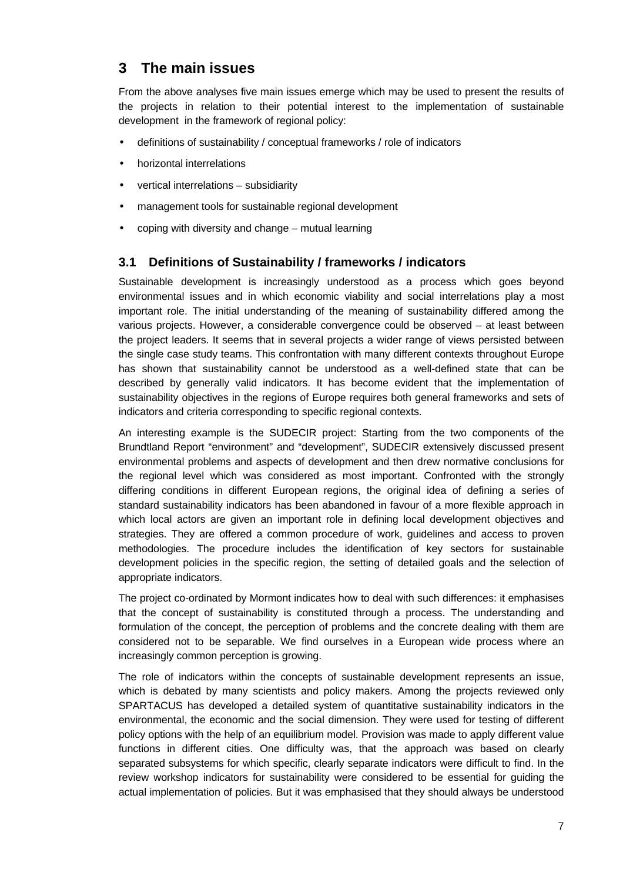# **3 The main issues**

From the above analyses five main issues emerge which may be used to present the results of the projects in relation to their potential interest to the implementation of sustainable development in the framework of regional policy:

- definitions of sustainability / conceptual frameworks / role of indicators
- horizontal interrelations
- vertical interrelations subsidiarity
- management tools for sustainable regional development
- coping with diversity and change mutual learning

### **3.1 Definitions of Sustainability / frameworks / indicators**

Sustainable development is increasingly understood as a process which goes beyond environmental issues and in which economic viability and social interrelations play a most important role. The initial understanding of the meaning of sustainability differed among the various projects. However, a considerable convergence could be observed – at least between the project leaders. It seems that in several projects a wider range of views persisted between the single case study teams. This confrontation with many different contexts throughout Europe has shown that sustainability cannot be understood as a well-defined state that can be described by generally valid indicators. It has become evident that the implementation of sustainability objectives in the regions of Europe requires both general frameworks and sets of indicators and criteria corresponding to specific regional contexts.

An interesting example is the SUDECIR project: Starting from the two components of the Brundtland Report "environment" and "development", SUDECIR extensively discussed present environmental problems and aspects of development and then drew normative conclusions for the regional level which was considered as most important. Confronted with the strongly differing conditions in different European regions, the original idea of defining a series of standard sustainability indicators has been abandoned in favour of a more flexible approach in which local actors are given an important role in defining local development objectives and strategies. They are offered a common procedure of work, guidelines and access to proven methodologies. The procedure includes the identification of key sectors for sustainable development policies in the specific region, the setting of detailed goals and the selection of appropriate indicators.

The project co-ordinated by Mormont indicates how to deal with such differences: it emphasises that the concept of sustainability is constituted through a process. The understanding and formulation of the concept, the perception of problems and the concrete dealing with them are considered not to be separable. We find ourselves in a European wide process where an increasingly common perception is growing.

The role of indicators within the concepts of sustainable development represents an issue, which is debated by many scientists and policy makers. Among the projects reviewed only SPARTACUS has developed a detailed system of quantitative sustainability indicators in the environmental, the economic and the social dimension. They were used for testing of different policy options with the help of an equilibrium model. Provision was made to apply different value functions in different cities. One difficulty was, that the approach was based on clearly separated subsystems for which specific, clearly separate indicators were difficult to find. In the review workshop indicators for sustainability were considered to be essential for guiding the actual implementation of policies. But it was emphasised that they should always be understood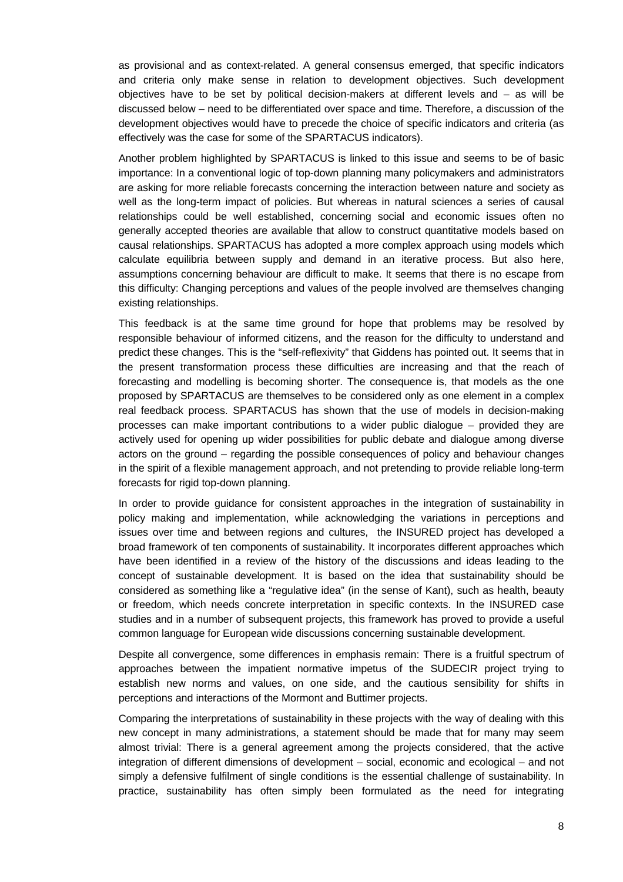as provisional and as context-related. A general consensus emerged, that specific indicators and criteria only make sense in relation to development objectives. Such development objectives have to be set by political decision-makers at different levels and – as will be discussed below – need to be differentiated over space and time. Therefore, a discussion of the development objectives would have to precede the choice of specific indicators and criteria (as effectively was the case for some of the SPARTACUS indicators).

Another problem highlighted by SPARTACUS is linked to this issue and seems to be of basic importance: In a conventional logic of top-down planning many policymakers and administrators are asking for more reliable forecasts concerning the interaction between nature and society as well as the long-term impact of policies. But whereas in natural sciences a series of causal relationships could be well established, concerning social and economic issues often no generally accepted theories are available that allow to construct quantitative models based on causal relationships. SPARTACUS has adopted a more complex approach using models which calculate equilibria between supply and demand in an iterative process. But also here, assumptions concerning behaviour are difficult to make. It seems that there is no escape from this difficulty: Changing perceptions and values of the people involved are themselves changing existing relationships.

This feedback is at the same time ground for hope that problems may be resolved by responsible behaviour of informed citizens, and the reason for the difficulty to understand and predict these changes. This is the "self-reflexivity" that Giddens has pointed out. It seems that in the present transformation process these difficulties are increasing and that the reach of forecasting and modelling is becoming shorter. The consequence is, that models as the one proposed by SPARTACUS are themselves to be considered only as one element in a complex real feedback process. SPARTACUS has shown that the use of models in decision-making processes can make important contributions to a wider public dialogue – provided they are actively used for opening up wider possibilities for public debate and dialogue among diverse actors on the ground – regarding the possible consequences of policy and behaviour changes in the spirit of a flexible management approach, and not pretending to provide reliable long-term forecasts for rigid top-down planning.

In order to provide guidance for consistent approaches in the integration of sustainability in policy making and implementation, while acknowledging the variations in perceptions and issues over time and between regions and cultures, the INSURED project has developed a broad framework of ten components of sustainability. It incorporates different approaches which have been identified in a review of the history of the discussions and ideas leading to the concept of sustainable development. It is based on the idea that sustainability should be considered as something like a "regulative idea" (in the sense of Kant), such as health, beauty or freedom, which needs concrete interpretation in specific contexts. In the INSURED case studies and in a number of subsequent projects, this framework has proved to provide a useful common language for European wide discussions concerning sustainable development.

Despite all convergence, some differences in emphasis remain: There is a fruitful spectrum of approaches between the impatient normative impetus of the SUDECIR project trying to establish new norms and values, on one side, and the cautious sensibility for shifts in perceptions and interactions of the Mormont and Buttimer projects.

Comparing the interpretations of sustainability in these projects with the way of dealing with this new concept in many administrations, a statement should be made that for many may seem almost trivial: There is a general agreement among the projects considered, that the active integration of different dimensions of development – social, economic and ecological – and not simply a defensive fulfilment of single conditions is the essential challenge of sustainability. In practice, sustainability has often simply been formulated as the need for integrating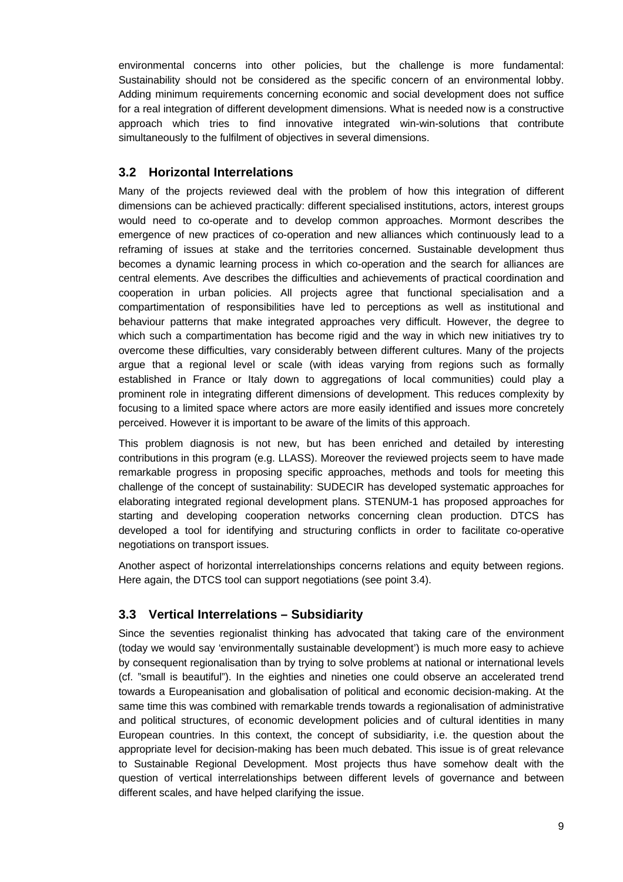environmental concerns into other policies, but the challenge is more fundamental: Sustainability should not be considered as the specific concern of an environmental lobby. Adding minimum requirements concerning economic and social development does not suffice for a real integration of different development dimensions. What is needed now is a constructive approach which tries to find innovative integrated win-win-solutions that contribute simultaneously to the fulfilment of objectives in several dimensions.

# **3.2 Horizontal Interrelations**

Many of the projects reviewed deal with the problem of how this integration of different dimensions can be achieved practically: different specialised institutions, actors, interest groups would need to co-operate and to develop common approaches. Mormont describes the emergence of new practices of co-operation and new alliances which continuously lead to a reframing of issues at stake and the territories concerned. Sustainable development thus becomes a dynamic learning process in which co-operation and the search for alliances are central elements. Ave describes the difficulties and achievements of practical coordination and cooperation in urban policies. All projects agree that functional specialisation and a compartimentation of responsibilities have led to perceptions as well as institutional and behaviour patterns that make integrated approaches very difficult. However, the degree to which such a compartimentation has become rigid and the way in which new initiatives try to overcome these difficulties, vary considerably between different cultures. Many of the projects argue that a regional level or scale (with ideas varying from regions such as formally established in France or Italy down to aggregations of local communities) could play a prominent role in integrating different dimensions of development. This reduces complexity by focusing to a limited space where actors are more easily identified and issues more concretely perceived. However it is important to be aware of the limits of this approach.

This problem diagnosis is not new, but has been enriched and detailed by interesting contributions in this program (e.g. LLASS). Moreover the reviewed projects seem to have made remarkable progress in proposing specific approaches, methods and tools for meeting this challenge of the concept of sustainability: SUDECIR has developed systematic approaches for elaborating integrated regional development plans. STENUM-1 has proposed approaches for starting and developing cooperation networks concerning clean production. DTCS has developed a tool for identifying and structuring conflicts in order to facilitate co-operative negotiations on transport issues.

Another aspect of horizontal interrelationships concerns relations and equity between regions. Here again, the DTCS tool can support negotiations (see point 3.4).

# **3.3 Vertical Interrelations – Subsidiarity**

Since the seventies regionalist thinking has advocated that taking care of the environment (today we would say 'environmentally sustainable development') is much more easy to achieve by consequent regionalisation than by trying to solve problems at national or international levels (cf. "small is beautiful"). In the eighties and nineties one could observe an accelerated trend towards a Europeanisation and globalisation of political and economic decision-making. At the same time this was combined with remarkable trends towards a regionalisation of administrative and political structures, of economic development policies and of cultural identities in many European countries. In this context, the concept of subsidiarity, i.e. the question about the appropriate level for decision-making has been much debated. This issue is of great relevance to Sustainable Regional Development. Most projects thus have somehow dealt with the question of vertical interrelationships between different levels of governance and between different scales, and have helped clarifying the issue.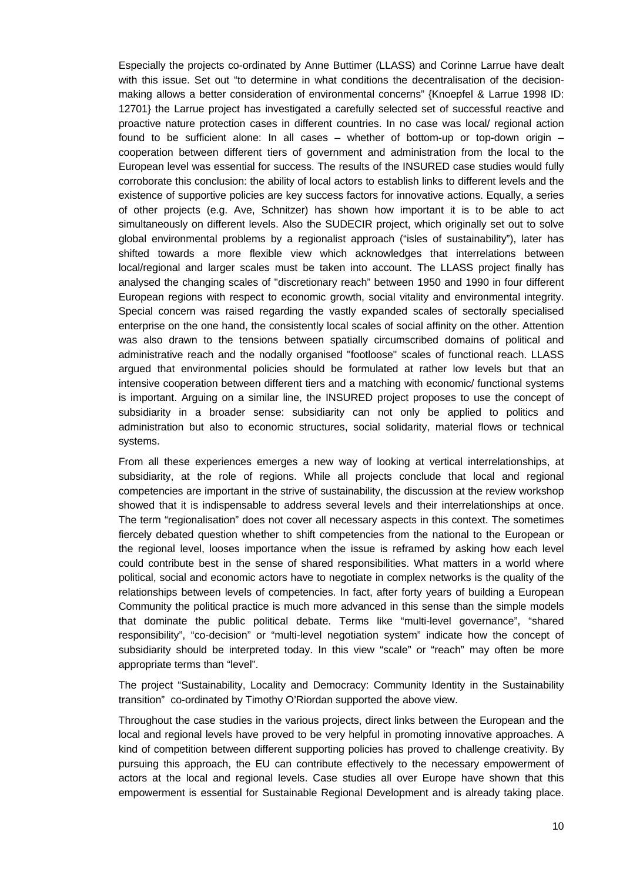Especially the projects co-ordinated by Anne Buttimer (LLASS) and Corinne Larrue have dealt with this issue. Set out "to determine in what conditions the decentralisation of the decisionmaking allows a better consideration of environmental concerns" {Knoepfel & Larrue 1998 ID: 12701} the Larrue project has investigated a carefully selected set of successful reactive and proactive nature protection cases in different countries. In no case was local/ regional action found to be sufficient alone: In all cases – whether of bottom-up or top-down origin – cooperation between different tiers of government and administration from the local to the European level was essential for success. The results of the INSURED case studies would fully corroborate this conclusion: the ability of local actors to establish links to different levels and the existence of supportive policies are key success factors for innovative actions. Equally, a series of other projects (e.g. Ave, Schnitzer) has shown how important it is to be able to act simultaneously on different levels. Also the SUDECIR project, which originally set out to solve global environmental problems by a regionalist approach ("isles of sustainability"), later has shifted towards a more flexible view which acknowledges that interrelations between local/regional and larger scales must be taken into account. The LLASS project finally has analysed the changing scales of "discretionary reach" between 1950 and 1990 in four different European regions with respect to economic growth, social vitality and environmental integrity. Special concern was raised regarding the vastly expanded scales of sectorally specialised enterprise on the one hand, the consistently local scales of social affinity on the other. Attention was also drawn to the tensions between spatially circumscribed domains of political and administrative reach and the nodally organised "footloose" scales of functional reach. LLASS argued that environmental policies should be formulated at rather low levels but that an intensive cooperation between different tiers and a matching with economic/ functional systems is important. Arguing on a similar line, the INSURED project proposes to use the concept of subsidiarity in a broader sense: subsidiarity can not only be applied to politics and administration but also to economic structures, social solidarity, material flows or technical systems.

From all these experiences emerges a new way of looking at vertical interrelationships, at subsidiarity, at the role of regions. While all projects conclude that local and regional competencies are important in the strive of sustainability, the discussion at the review workshop showed that it is indispensable to address several levels and their interrelationships at once. The term "regionalisation" does not cover all necessary aspects in this context. The sometimes fiercely debated question whether to shift competencies from the national to the European or the regional level, looses importance when the issue is reframed by asking how each level could contribute best in the sense of shared responsibilities. What matters in a world where political, social and economic actors have to negotiate in complex networks is the quality of the relationships between levels of competencies. In fact, after forty years of building a European Community the political practice is much more advanced in this sense than the simple models that dominate the public political debate. Terms like "multi-level governance", "shared responsibility", "co-decision" or "multi-level negotiation system" indicate how the concept of subsidiarity should be interpreted today. In this view "scale" or "reach" may often be more appropriate terms than "level".

The project "Sustainability, Locality and Democracy: Community Identity in the Sustainability transition" co-ordinated by Timothy O'Riordan supported the above view.

Throughout the case studies in the various projects, direct links between the European and the local and regional levels have proved to be very helpful in promoting innovative approaches. A kind of competition between different supporting policies has proved to challenge creativity. By pursuing this approach, the EU can contribute effectively to the necessary empowerment of actors at the local and regional levels. Case studies all over Europe have shown that this empowerment is essential for Sustainable Regional Development and is already taking place.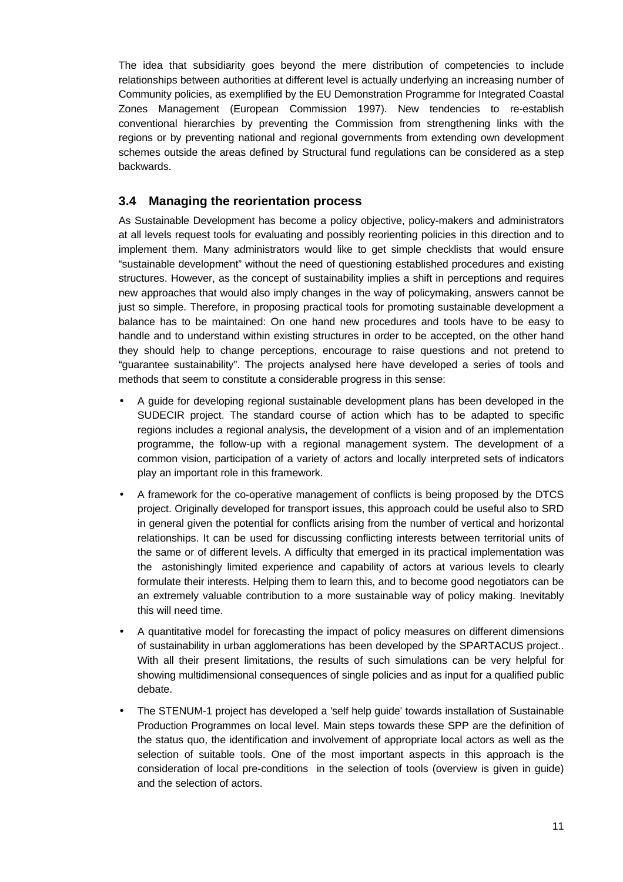The idea that subsidiarity goes beyond the mere distribution of competencies to include relationships between authorities at different level is actually underlying an increasing number of Community policies, as exemplified by the EU Demonstration Programme for Integrated Coastal Zones Management (European Commission 1997). New tendencies to re-establish conventional hierarchies by preventing the Commission from strengthening links with the regions or by preventing national and regional governments from extending own development schemes outside the areas defined by Structural fund regulations can be considered as a step backwards.

### **3.4 Managing the reorientation process**

As Sustainable Development has become a policy objective, policy-makers and administrators at all levels request tools for evaluating and possibly reorienting policies in this direction and to implement them. Many administrators would like to get simple checklists that would ensure "sustainable development" without the need of questioning established procedures and existing structures. However, as the concept of sustainability implies a shift in perceptions and requires new approaches that would also imply changes in the way of policymaking, answers cannot be just so simple. Therefore, in proposing practical tools for promoting sustainable development a balance has to be maintained: On one hand new procedures and tools have to be easy to handle and to understand within existing structures in order to be accepted, on the other hand they should help to change perceptions, encourage to raise questions and not pretend to "guarantee sustainability". The projects analysed here have developed a series of tools and methods that seem to constitute a considerable progress in this sense:

- A guide for developing regional sustainable development plans has been developed in the SUDECIR project. The standard course of action which has to be adapted to specific regions includes a regional analysis, the development of a vision and of an implementation programme, the follow-up with a regional management system. The development of a common vision, participation of a variety of actors and locally interpreted sets of indicators play an important role in this framework.
- A framework for the co-operative management of conflicts is being proposed by the DTCS project. Originally developed for transport issues, this approach could be useful also to SRD in general given the potential for conflicts arising from the number of vertical and horizontal relationships. It can be used for discussing conflicting interests between territorial units of the same or of different levels. A difficulty that emerged in its practical implementation was the astonishingly limited experience and capability of actors at various levels to clearly formulate their interests. Helping them to learn this, and to become good negotiators can be an extremely valuable contribution to a more sustainable way of policy making. Inevitably this will need time.
- A quantitative model for forecasting the impact of policy measures on different dimensions of sustainability in urban agglomerations has been developed by the SPARTACUS project.. With all their present limitations, the results of such simulations can be very helpful for showing multidimensional consequences of single policies and as input for a qualified public debate.
- The STENUM-1 project has developed a 'self help guide' towards installation of Sustainable Production Programmes on local level. Main steps towards these SPP are the definition of the status quo, the identification and involvement of appropriate local actors as well as the selection of suitable tools. One of the most important aspects in this approach is the consideration of local pre-conditions in the selection of tools (overview is given in guide) and the selection of actors.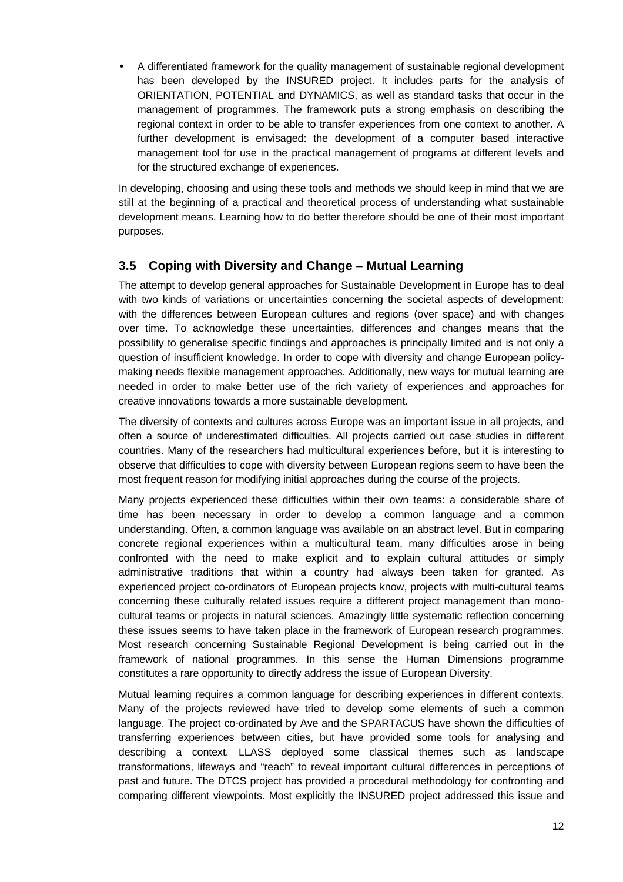• A differentiated framework for the quality management of sustainable regional development has been developed by the INSURED project. It includes parts for the analysis of ORIENTATION, POTENTIAL and DYNAMICS, as well as standard tasks that occur in the management of programmes. The framework puts a strong emphasis on describing the regional context in order to be able to transfer experiences from one context to another. A further development is envisaged: the development of a computer based interactive management tool for use in the practical management of programs at different levels and for the structured exchange of experiences.

In developing, choosing and using these tools and methods we should keep in mind that we are still at the beginning of a practical and theoretical process of understanding what sustainable development means. Learning how to do better therefore should be one of their most important purposes.

### **3.5 Coping with Diversity and Change – Mutual Learning**

The attempt to develop general approaches for Sustainable Development in Europe has to deal with two kinds of variations or uncertainties concerning the societal aspects of development: with the differences between European cultures and regions (over space) and with changes over time. To acknowledge these uncertainties, differences and changes means that the possibility to generalise specific findings and approaches is principally limited and is not only a question of insufficient knowledge. In order to cope with diversity and change European policymaking needs flexible management approaches. Additionally, new ways for mutual learning are needed in order to make better use of the rich variety of experiences and approaches for creative innovations towards a more sustainable development.

The diversity of contexts and cultures across Europe was an important issue in all projects, and often a source of underestimated difficulties. All projects carried out case studies in different countries. Many of the researchers had multicultural experiences before, but it is interesting to observe that difficulties to cope with diversity between European regions seem to have been the most frequent reason for modifying initial approaches during the course of the projects.

Many projects experienced these difficulties within their own teams: a considerable share of time has been necessary in order to develop a common language and a common understanding. Often, a common language was available on an abstract level. But in comparing concrete regional experiences within a multicultural team, many difficulties arose in being confronted with the need to make explicit and to explain cultural attitudes or simply administrative traditions that within a country had always been taken for granted. As experienced project co-ordinators of European projects know, projects with multi-cultural teams concerning these culturally related issues require a different project management than monocultural teams or projects in natural sciences. Amazingly little systematic reflection concerning these issues seems to have taken place in the framework of European research programmes. Most research concerning Sustainable Regional Development is being carried out in the framework of national programmes. In this sense the Human Dimensions programme constitutes a rare opportunity to directly address the issue of European Diversity.

Mutual learning requires a common language for describing experiences in different contexts. Many of the projects reviewed have tried to develop some elements of such a common language. The project co-ordinated by Ave and the SPARTACUS have shown the difficulties of transferring experiences between cities, but have provided some tools for analysing and describing a context. LLASS deployed some classical themes such as landscape transformations, lifeways and "reach" to reveal important cultural differences in perceptions of past and future. The DTCS project has provided a procedural methodology for confronting and comparing different viewpoints. Most explicitly the INSURED project addressed this issue and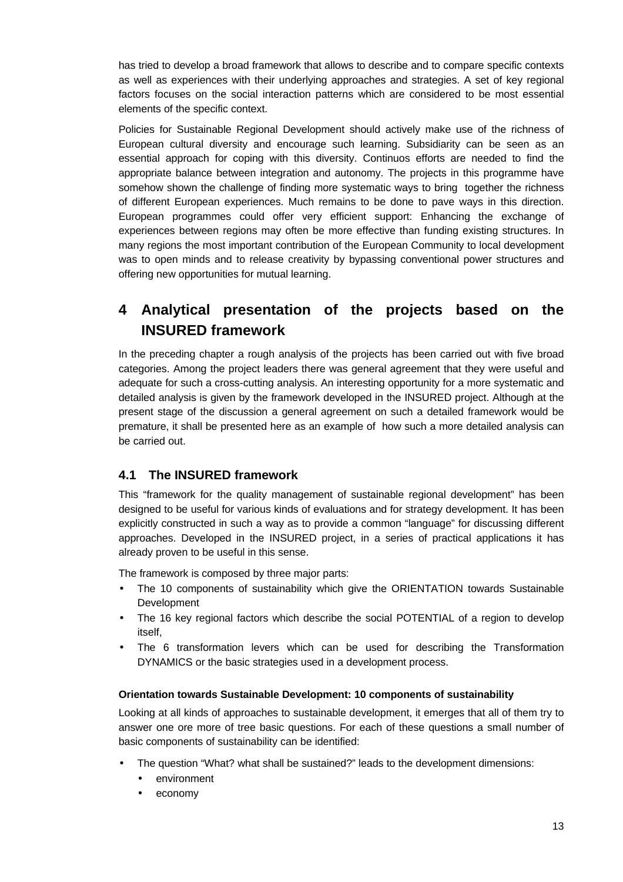has tried to develop a broad framework that allows to describe and to compare specific contexts as well as experiences with their underlying approaches and strategies. A set of key regional factors focuses on the social interaction patterns which are considered to be most essential elements of the specific context.

Policies for Sustainable Regional Development should actively make use of the richness of European cultural diversity and encourage such learning. Subsidiarity can be seen as an essential approach for coping with this diversity. Continuos efforts are needed to find the appropriate balance between integration and autonomy. The projects in this programme have somehow shown the challenge of finding more systematic ways to bring together the richness of different European experiences. Much remains to be done to pave ways in this direction. European programmes could offer very efficient support: Enhancing the exchange of experiences between regions may often be more effective than funding existing structures. In many regions the most important contribution of the European Community to local development was to open minds and to release creativity by bypassing conventional power structures and offering new opportunities for mutual learning.

# **4 Analytical presentation of the projects based on the INSURED framework**

In the preceding chapter a rough analysis of the projects has been carried out with five broad categories. Among the project leaders there was general agreement that they were useful and adequate for such a cross-cutting analysis. An interesting opportunity for a more systematic and detailed analysis is given by the framework developed in the INSURED project. Although at the present stage of the discussion a general agreement on such a detailed framework would be premature, it shall be presented here as an example of how such a more detailed analysis can be carried out.

# **4.1 The INSURED framework**

This "framework for the quality management of sustainable regional development" has been designed to be useful for various kinds of evaluations and for strategy development. It has been explicitly constructed in such a way as to provide a common "language" for discussing different approaches. Developed in the INSURED project, in a series of practical applications it has already proven to be useful in this sense.

The framework is composed by three major parts:

- The 10 components of sustainability which give the ORIENTATION towards Sustainable Development
- The 16 key regional factors which describe the social POTENTIAL of a region to develop itself,
- The 6 transformation levers which can be used for describing the Transformation DYNAMICS or the basic strategies used in a development process.

#### **Orientation towards Sustainable Development: 10 components of sustainability**

Looking at all kinds of approaches to sustainable development, it emerges that all of them try to answer one ore more of tree basic questions. For each of these questions a small number of basic components of sustainability can be identified:

- The question "What? what shall be sustained?" leads to the development dimensions:
	- environment
	- economy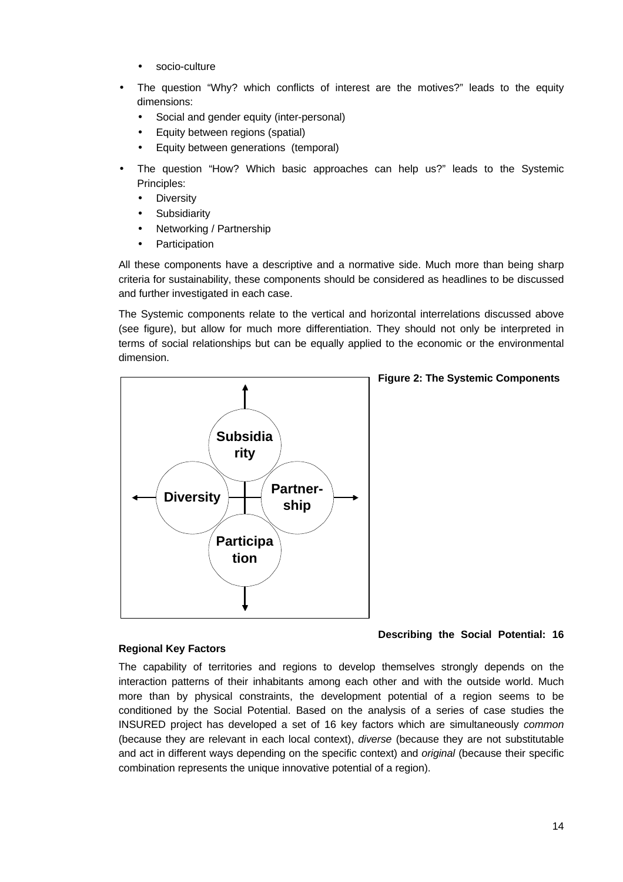- socio-culture
- The question "Why? which conflicts of interest are the motives?" leads to the equity dimensions:
	- Social and gender equity (inter-personal)
	- Equity between regions (spatial)
	- Equity between generations (temporal)
- The question "How? Which basic approaches can help us?" leads to the Systemic Principles:
	- Diversity
	- **Subsidiarity**
	- Networking / Partnership
	- **Participation**

All these components have a descriptive and a normative side. Much more than being sharp criteria for sustainability, these components should be considered as headlines to be discussed and further investigated in each case.

The Systemic components relate to the vertical and horizontal interrelations discussed above (see figure), but allow for much more differentiation. They should not only be interpreted in terms of social relationships but can be equally applied to the economic or the environmental dimension.



#### **Figure 2: The Systemic Components**

**Describing the Social Potential: 16**

#### **Regional Key Factors**

The capability of territories and regions to develop themselves strongly depends on the interaction patterns of their inhabitants among each other and with the outside world. Much more than by physical constraints, the development potential of a region seems to be conditioned by the Social Potential. Based on the analysis of a series of case studies the INSURED project has developed a set of 16 key factors which are simultaneously *common* (because they are relevant in each local context), *diverse* (because they are not substitutable and act in different ways depending on the specific context) and *original* (because their specific combination represents the unique innovative potential of a region).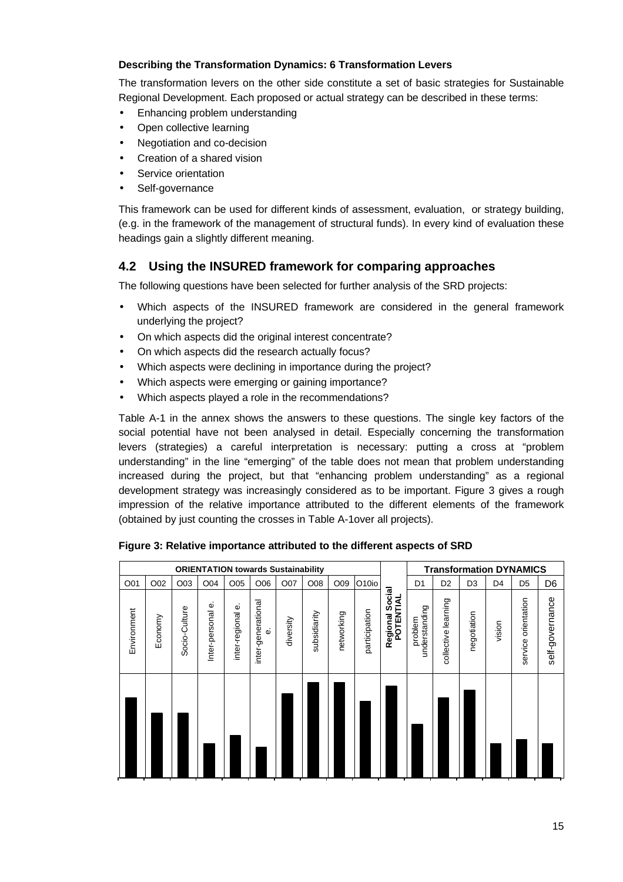#### **Describing the Transformation Dynamics: 6 Transformation Levers**

The transformation levers on the other side constitute a set of basic strategies for Sustainable Regional Development. Each proposed or actual strategy can be described in these terms:

- Enhancing problem understanding
- Open collective learning
- Negotiation and co-decision
- Creation of a shared vision
- Service orientation
- Self-governance

This framework can be used for different kinds of assessment, evaluation, or strategy building, (e.g. in the framework of the management of structural funds). In every kind of evaluation these headings gain a slightly different meaning.

### **4.2 Using the INSURED framework for comparing approaches**

The following questions have been selected for further analysis of the SRD projects:

- Which aspects of the INSURED framework are considered in the general framework underlying the project?
- On which aspects did the original interest concentrate?
- On which aspects did the research actually focus?
- Which aspects were declining in importance during the project?
- Which aspects were emerging or gaining importance?
- Which aspects played a role in the recommendations?

Table A-1 in the annex shows the answers to these questions. The single key factors of the social potential have not been analysed in detail. Especially concerning the transformation levers (strategies) a careful interpretation is necessary: putting a cross at "problem understanding" in the line "emerging" of the table does not mean that problem understanding increased during the project, but that "enhancing problem understanding" as a regional development strategy was increasingly considered as to be important. Figure 3 gives a rough impression of the relative importance attributed to the different elements of the framework (obtained by just counting the crosses in Table A-1over all projects).

| <b>ORIENTATION towards Sustainability</b> |         |               |                     |                  |                         |           |              |            |               |                                 |                          |                     |                |                | <b>Transformation DYNAMICS</b> |                 |
|-------------------------------------------|---------|---------------|---------------------|------------------|-------------------------|-----------|--------------|------------|---------------|---------------------------------|--------------------------|---------------------|----------------|----------------|--------------------------------|-----------------|
| O01                                       | O02     | O03           | O04                 | O05              | O06                     | O07       | O08          | O09        | O10io         |                                 | D <sub>1</sub>           | D <sub>2</sub>      | D <sub>3</sub> | D <sub>4</sub> | D <sub>5</sub>                 | D <sub>6</sub>  |
| Environment                               | Economy | Socio-Culture | Ф<br>Inter-personal | inter-regional e | inter-generational<br>Φ | diversity | subsidiarity | networking | participation | Social<br>POTENTIAL<br>Regional | understanding<br>problem | collective learning | negotiation    | vision         | service orientation            | self-governance |
|                                           |         |               |                     |                  |                         |           |              |            |               |                                 |                          |                     |                |                |                                |                 |

#### **Figure 3: Relative importance attributed to the different aspects of SRD**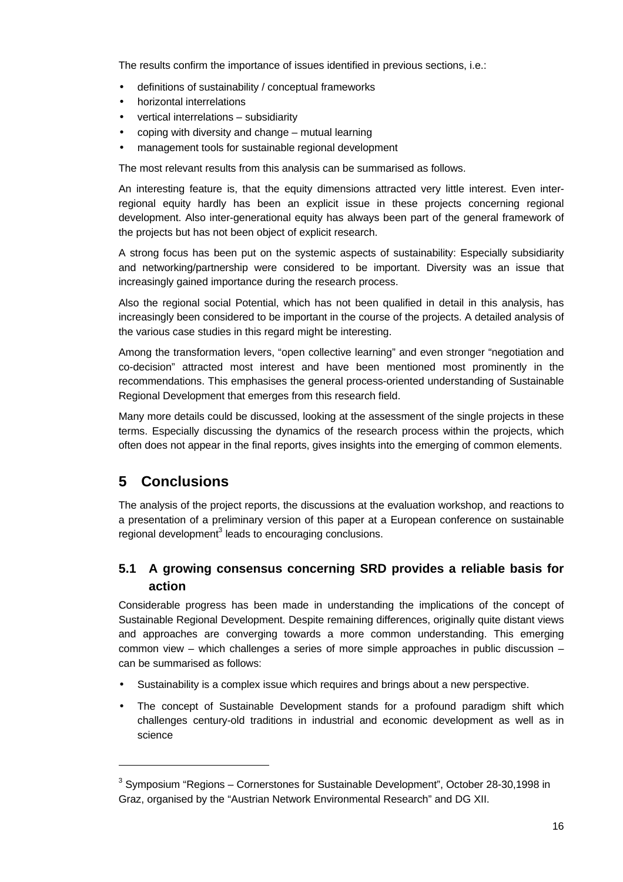The results confirm the importance of issues identified in previous sections, i.e.:

- definitions of sustainability / conceptual frameworks
- horizontal interrelations
- vertical interrelations subsidiarity
- coping with diversity and change mutual learning
- management tools for sustainable regional development

The most relevant results from this analysis can be summarised as follows.

An interesting feature is, that the equity dimensions attracted very little interest. Even interregional equity hardly has been an explicit issue in these projects concerning regional development. Also inter-generational equity has always been part of the general framework of the projects but has not been object of explicit research.

A strong focus has been put on the systemic aspects of sustainability: Especially subsidiarity and networking/partnership were considered to be important. Diversity was an issue that increasingly gained importance during the research process.

Also the regional social Potential, which has not been qualified in detail in this analysis, has increasingly been considered to be important in the course of the projects. A detailed analysis of the various case studies in this regard might be interesting.

Among the transformation levers, "open collective learning" and even stronger "negotiation and co-decision" attracted most interest and have been mentioned most prominently in the recommendations. This emphasises the general process-oriented understanding of Sustainable Regional Development that emerges from this research field.

Many more details could be discussed, looking at the assessment of the single projects in these terms. Especially discussing the dynamics of the research process within the projects, which often does not appear in the final reports, gives insights into the emerging of common elements.

# **5 Conclusions**

-

The analysis of the project reports, the discussions at the evaluation workshop, and reactions to a presentation of a preliminary version of this paper at a European conference on sustainable regional development<sup>3</sup> leads to encouraging conclusions.

# **5.1 A growing consensus concerning SRD provides a reliable basis for action**

Considerable progress has been made in understanding the implications of the concept of Sustainable Regional Development. Despite remaining differences, originally quite distant views and approaches are converging towards a more common understanding. This emerging common view – which challenges a series of more simple approaches in public discussion – can be summarised as follows:

- Sustainability is a complex issue which requires and brings about a new perspective.
- The concept of Sustainable Development stands for a profound paradigm shift which challenges century-old traditions in industrial and economic development as well as in science

 $3$  Symposium "Regions – Cornerstones for Sustainable Development", October 28-30,1998 in Graz, organised by the "Austrian Network Environmental Research" and DG XII.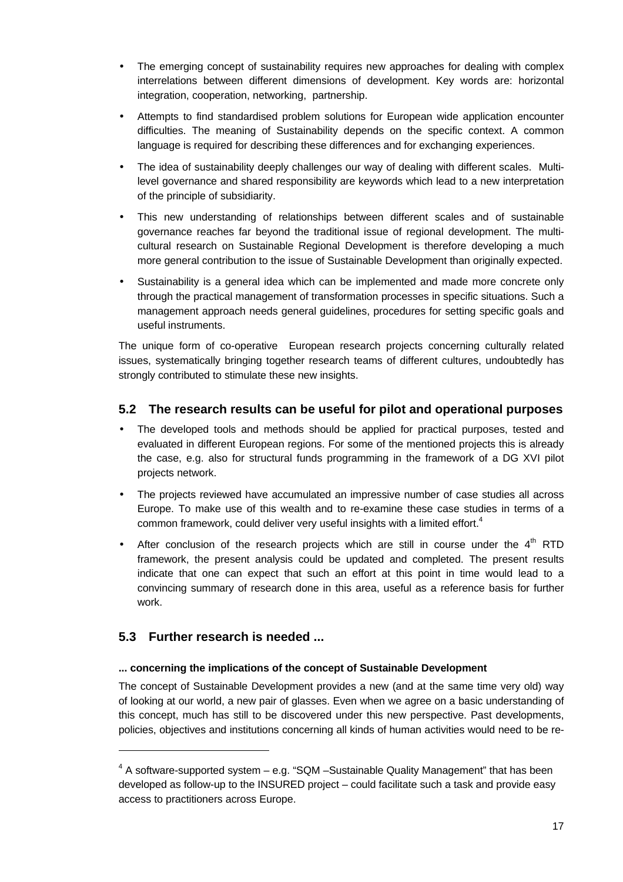- The emerging concept of sustainability requires new approaches for dealing with complex interrelations between different dimensions of development. Key words are: horizontal integration, cooperation, networking, partnership.
- Attempts to find standardised problem solutions for European wide application encounter difficulties. The meaning of Sustainability depends on the specific context. A common language is required for describing these differences and for exchanging experiences.
- The idea of sustainability deeply challenges our way of dealing with different scales. Multilevel governance and shared responsibility are keywords which lead to a new interpretation of the principle of subsidiarity.
- This new understanding of relationships between different scales and of sustainable governance reaches far beyond the traditional issue of regional development. The multicultural research on Sustainable Regional Development is therefore developing a much more general contribution to the issue of Sustainable Development than originally expected.
- Sustainability is a general idea which can be implemented and made more concrete only through the practical management of transformation processes in specific situations. Such a management approach needs general guidelines, procedures for setting specific goals and useful instruments.

The unique form of co-operative European research projects concerning culturally related issues, systematically bringing together research teams of different cultures, undoubtedly has strongly contributed to stimulate these new insights.

# **5.2 The research results can be useful for pilot and operational purposes**

- The developed tools and methods should be applied for practical purposes, tested and evaluated in different European regions. For some of the mentioned projects this is already the case, e.g. also for structural funds programming in the framework of a DG XVI pilot projects network.
- The projects reviewed have accumulated an impressive number of case studies all across Europe. To make use of this wealth and to re-examine these case studies in terms of a common framework, could deliver very useful insights with a limited effort.<sup>4</sup>
- After conclusion of the research projects which are still in course under the  $4<sup>th</sup>$  RTD framework, the present analysis could be updated and completed. The present results indicate that one can expect that such an effort at this point in time would lead to a convincing summary of research done in this area, useful as a reference basis for further work.

# **5.3 Further research is needed ...**

l

#### **... concerning the implications of the concept of Sustainable Development**

The concept of Sustainable Development provides a new (and at the same time very old) way of looking at our world, a new pair of glasses. Even when we agree on a basic understanding of this concept, much has still to be discovered under this new perspective. Past developments, policies, objectives and institutions concerning all kinds of human activities would need to be re-

 $4$  A software-supported system – e.g. "SQM –Sustainable Quality Management" that has been developed as follow-up to the INSURED project – could facilitate such a task and provide easy access to practitioners across Europe.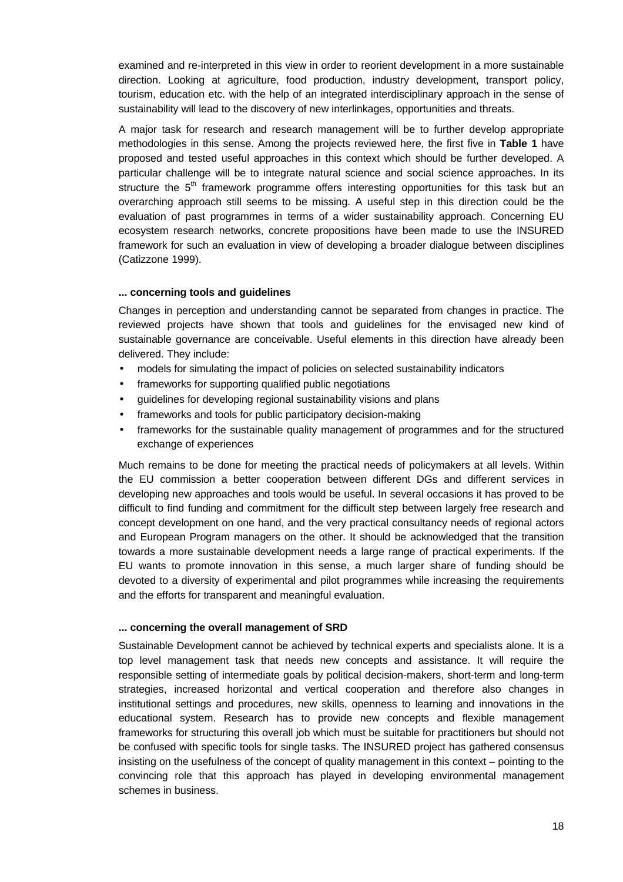examined and re-interpreted in this view in order to reorient development in a more sustainable direction. Looking at agriculture, food production, industry development, transport policy, tourism, education etc. with the help of an integrated interdisciplinary approach in the sense of sustainability will lead to the discovery of new interlinkages, opportunities and threats.

A major task for research and research management will be to further develop appropriate methodologies in this sense. Among the projects reviewed here, the first five in **Table 1** have proposed and tested useful approaches in this context which should be further developed. A particular challenge will be to integrate natural science and social science approaches. In its structure the  $5<sup>th</sup>$  framework programme offers interesting opportunities for this task but an overarching approach still seems to be missing. A useful step in this direction could be the evaluation of past programmes in terms of a wider sustainability approach. Concerning EU ecosystem research networks, concrete propositions have been made to use the INSURED framework for such an evaluation in view of developing a broader dialogue between disciplines (Catizzone 1999).

#### **... concerning tools and guidelines**

Changes in perception and understanding cannot be separated from changes in practice. The reviewed projects have shown that tools and guidelines for the envisaged new kind of sustainable governance are conceivable. Useful elements in this direction have already been delivered. They include:

- models for simulating the impact of policies on selected sustainability indicators
- frameworks for supporting qualified public negotiations
- guidelines for developing regional sustainability visions and plans
- frameworks and tools for public participatory decision-making
- frameworks for the sustainable quality management of programmes and for the structured exchange of experiences

Much remains to be done for meeting the practical needs of policymakers at all levels. Within the EU commission a better cooperation between different DGs and different services in developing new approaches and tools would be useful. In several occasions it has proved to be difficult to find funding and commitment for the difficult step between largely free research and concept development on one hand, and the very practical consultancy needs of regional actors and European Program managers on the other. It should be acknowledged that the transition towards a more sustainable development needs a large range of practical experiments. If the EU wants to promote innovation in this sense, a much larger share of funding should be devoted to a diversity of experimental and pilot programmes while increasing the requirements and the efforts for transparent and meaningful evaluation.

#### **... concerning the overall management of SRD**

Sustainable Development cannot be achieved by technical experts and specialists alone. It is a top level management task that needs new concepts and assistance. It will require the responsible setting of intermediate goals by political decision-makers, short-term and long-term strategies, increased horizontal and vertical cooperation and therefore also changes in institutional settings and procedures, new skills, openness to learning and innovations in the educational system. Research has to provide new concepts and flexible management frameworks for structuring this overall job which must be suitable for practitioners but should not be confused with specific tools for single tasks. The INSURED project has gathered consensus insisting on the usefulness of the concept of quality management in this context – pointing to the convincing role that this approach has played in developing environmental management schemes in business.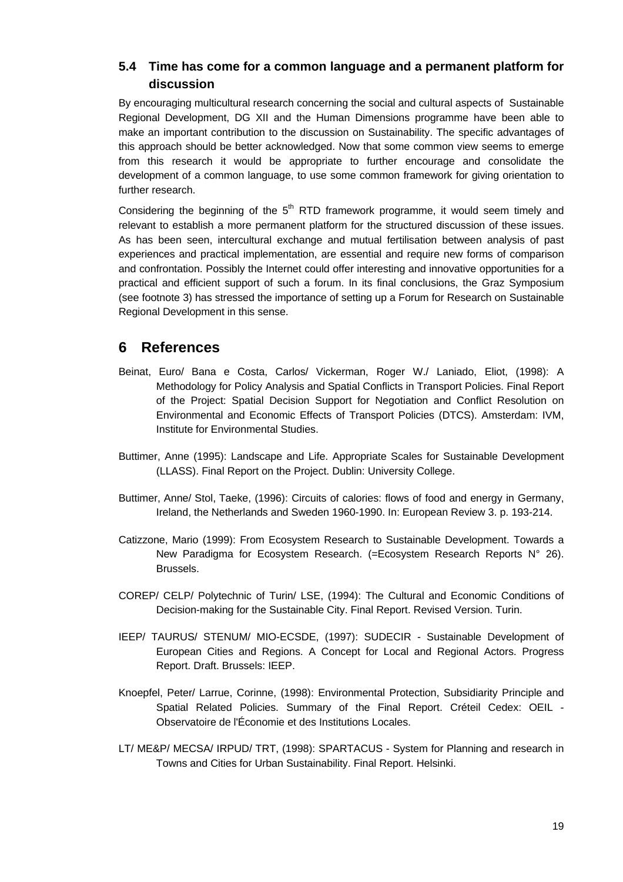### **5.4 Time has come for a common language and a permanent platform for discussion**

By encouraging multicultural research concerning the social and cultural aspects of Sustainable Regional Development, DG XII and the Human Dimensions programme have been able to make an important contribution to the discussion on Sustainability. The specific advantages of this approach should be better acknowledged. Now that some common view seems to emerge from this research it would be appropriate to further encourage and consolidate the development of a common language, to use some common framework for giving orientation to further research.

Considering the beginning of the  $5<sup>th</sup>$  RTD framework programme, it would seem timely and relevant to establish a more permanent platform for the structured discussion of these issues. As has been seen, intercultural exchange and mutual fertilisation between analysis of past experiences and practical implementation, are essential and require new forms of comparison and confrontation. Possibly the Internet could offer interesting and innovative opportunities for a practical and efficient support of such a forum. In its final conclusions, the Graz Symposium (see footnote 3) has stressed the importance of setting up a Forum for Research on Sustainable Regional Development in this sense.

# **6 References**

- Beinat, Euro/ Bana e Costa, Carlos/ Vickerman, Roger W./ Laniado, Eliot, (1998): A Methodology for Policy Analysis and Spatial Conflicts in Transport Policies. Final Report of the Project: Spatial Decision Support for Negotiation and Conflict Resolution on Environmental and Economic Effects of Transport Policies (DTCS). Amsterdam: IVM, Institute for Environmental Studies.
- Buttimer, Anne (1995): Landscape and Life. Appropriate Scales for Sustainable Development (LLASS). Final Report on the Project. Dublin: University College.
- Buttimer, Anne/ Stol, Taeke, (1996): Circuits of calories: flows of food and energy in Germany, Ireland, the Netherlands and Sweden 1960-1990. In: European Review 3. p. 193-214.
- Catizzone, Mario (1999): From Ecosystem Research to Sustainable Development. Towards a New Paradigma for Ecosystem Research. (=Ecosystem Research Reports N° 26). Brussels.
- COREP/ CELP/ Polytechnic of Turin/ LSE, (1994): The Cultural and Economic Conditions of Decision-making for the Sustainable City. Final Report. Revised Version. Turin.
- IEEP/ TAURUS/ STENUM/ MIO-ECSDE, (1997): SUDECIR Sustainable Development of European Cities and Regions. A Concept for Local and Regional Actors. Progress Report. Draft. Brussels: IEEP.
- Knoepfel, Peter/ Larrue, Corinne, (1998): Environmental Protection, Subsidiarity Principle and Spatial Related Policies. Summary of the Final Report. Créteil Cedex: OEIL - Observatoire de l'Économie et des Institutions Locales.
- LT/ ME&P/ MECSA/ IRPUD/ TRT, (1998): SPARTACUS System for Planning and research in Towns and Cities for Urban Sustainability. Final Report. Helsinki.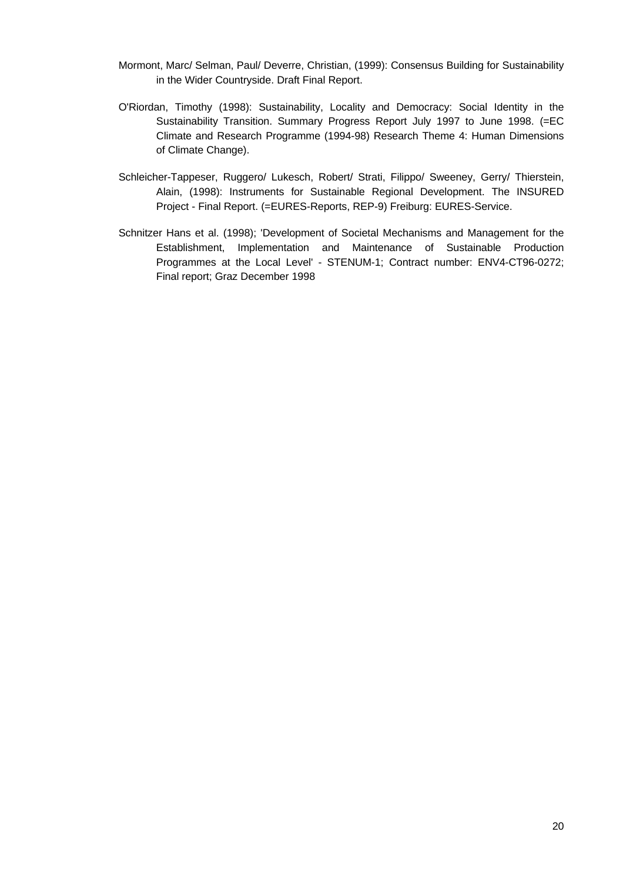- Mormont, Marc/ Selman, Paul/ Deverre, Christian, (1999): Consensus Building for Sustainability in the Wider Countryside. Draft Final Report.
- O'Riordan, Timothy (1998): Sustainability, Locality and Democracy: Social Identity in the Sustainability Transition. Summary Progress Report July 1997 to June 1998. (=EC Climate and Research Programme (1994-98) Research Theme 4: Human Dimensions of Climate Change).
- Schleicher-Tappeser, Ruggero/ Lukesch, Robert/ Strati, Filippo/ Sweeney, Gerry/ Thierstein, Alain, (1998): Instruments for Sustainable Regional Development. The INSURED Project - Final Report. (=EURES-Reports, REP-9) Freiburg: EURES-Service.
- Schnitzer Hans et al. (1998); 'Development of Societal Mechanisms and Management for the Establishment, Implementation and Maintenance of Sustainable Production Programmes at the Local Level' - STENUM-1; Contract number: ENV4-CT96-0272; Final report; Graz December 1998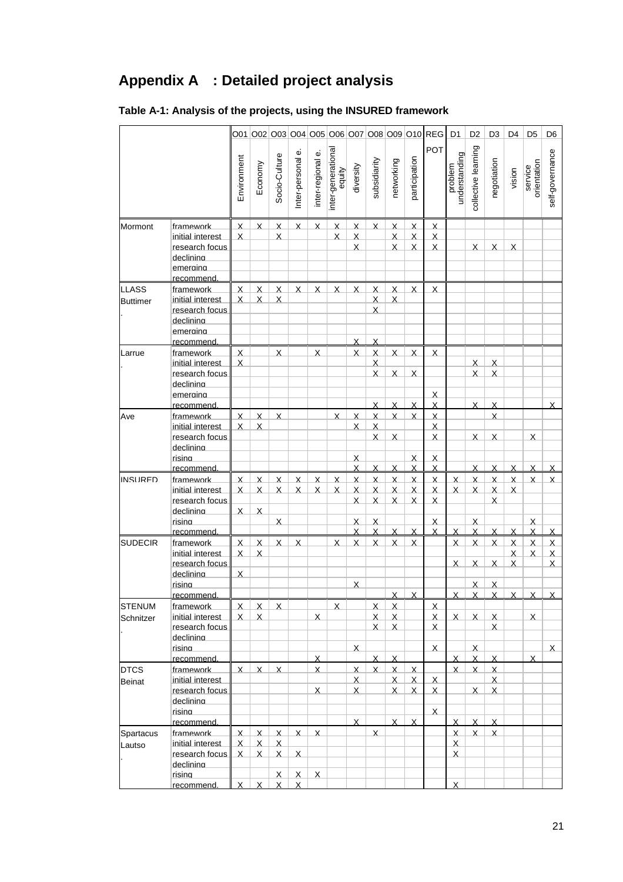# **Appendix A : Detailed project analysis**

|                                 |                                                                                                  |                                    |                                                                   |                                                                   |                                   |                                           |                                     |                                                   |                                                       |                                                          |                                                                                 | 001 002 003 004 005 006 007 008 009 010 REG D1                                               |                              | D <sub>2</sub>                                     | D <sub>3</sub>                                            | D4                                                           | D <sub>5</sub>                          | D <sub>6</sub>                                            |
|---------------------------------|--------------------------------------------------------------------------------------------------|------------------------------------|-------------------------------------------------------------------|-------------------------------------------------------------------|-----------------------------------|-------------------------------------------|-------------------------------------|---------------------------------------------------|-------------------------------------------------------|----------------------------------------------------------|---------------------------------------------------------------------------------|----------------------------------------------------------------------------------------------|------------------------------|----------------------------------------------------|-----------------------------------------------------------|--------------------------------------------------------------|-----------------------------------------|-----------------------------------------------------------|
|                                 |                                                                                                  | Environment                        | Economy                                                           | Socio-Culture                                                     | نه<br>Inter-personal              | inter-regional e.                         | inter-generational<br>equity        | diversity                                         | subsidiarity                                          | networking                                               | participation                                                                   | POT                                                                                          | understanding<br>problem     | collective learning                                | negotiation                                               | vision                                                       | orientation<br>service                  | self-governance                                           |
| Mormont                         | framework<br>initial interest<br>research focus<br>declinina<br>emeraina                         | $\mathsf{X}$<br>X                  | $\mathsf{X}$                                                      | X<br>X                                                            | $\sf X$                           | $\sf X$                                   | $\boldsymbol{\mathsf{X}}$<br>X      | $\times$<br>$\mathsf{X}$<br>$\sf X$               | $\sf X$                                               | $\boldsymbol{\mathsf{X}}$<br>$\times$<br>$\times$        | X<br>$\mathsf{X}$<br>$\sf X$                                                    | <u>x</u><br>$\boldsymbol{\mathsf{X}}$<br>$\mathsf{X}$                                        |                              | $\times$                                           | X                                                         | $\times$                                                     |                                         |                                                           |
| <b>LLASS</b><br><b>Buttimer</b> | recommend<br>framework<br>initial interest<br>research focus<br>declinina<br>emeraina            | Χ<br>X                             | X<br>X                                                            | X<br>X                                                            | X                                 | X                                         | X                                   | X                                                 | $\sf X$<br>X<br>$\times$                              | X<br>X                                                   | X                                                                               | X                                                                                            |                              |                                                    |                                                           |                                                              |                                         |                                                           |
| Larrue                          | recommend<br>framework<br>initial interest<br>research focus<br>declinina<br>emeraina            | X<br>X                             |                                                                   | X                                                                 |                                   | X                                         |                                     | $\overline{X}$<br>X                               | $\times$<br>$\boldsymbol{\mathsf{X}}$<br>$\sf X$<br>X | X<br>$\sf X$                                             | X<br>$\overline{\mathsf{X}}$                                                    | X<br><u>x</u>                                                                                |                              | $\sf X$<br>X                                       | X<br>$\sf X$                                              |                                                              |                                         |                                                           |
| Ave                             | recommend<br>framework<br>initial interest<br>research focus<br>declinina<br>risina              | $\sf X$<br>X                       | $\boldsymbol{\mathsf{X}}$<br>X                                    | X                                                                 |                                   |                                           | X                                   | $\overline{\mathsf{X}}$<br>$\sf X$<br>X           | X<br>$\times$<br>$\sf X$<br>X                         | X<br>$\times$<br>$\times$                                | $\times$<br>$\times$<br>X                                                       | X<br>$\boldsymbol{\mathsf{X}}$<br>$\sf X$<br>X<br>X                                          |                              | X<br>$\overline{\mathsf{X}}$                       | $\times$<br>X<br>X                                        |                                                              | $\times$                                | X                                                         |
| <b>INSURED</b>                  | recommend<br>framework<br>initial interest<br>research focus<br>declinina<br>risina              | X<br>Χ<br>X                        | $\sf X$<br>$\boldsymbol{\mathsf{X}}$<br>$\boldsymbol{\mathsf{X}}$ | $\sf X$<br>$\boldsymbol{\mathsf{X}}$<br>$\times$                  | $\times$<br>$\sf X$               | $\pmb{\chi}$<br>$\boldsymbol{\mathsf{X}}$ | $\overline{\mathsf{X}}$<br>$\times$ | Χ<br>$\overline{\mathsf{X}}$<br>$\sf X$<br>X<br>X | X<br>$\overline{\mathsf{X}}$<br>X<br>X<br>X           | X<br>$\overline{\mathsf{X}}$<br>$\sf X$<br>X             | $\overline{X}$<br>$\overline{\mathsf{X}}$<br>$\sf X$<br>$\overline{\mathsf{X}}$ | $\times$<br>$\overline{\mathsf{X}}$<br>$\pmb{\chi}$<br>$\times$<br>$\boldsymbol{\mathsf{X}}$ | $\sf X$<br>$\sf X$           | X<br>$\overline{\mathsf{X}}$<br>$\sf X$<br>$\sf X$ | X<br>$\overline{\mathsf{X}}$<br>X<br>X                    | X<br>$\overline{\mathsf{X}}$<br>X                            | X<br>$\sf X$<br>$\times$                | X<br>$\mathsf{X}$                                         |
| <b>SUDFCIR</b>                  | recommend<br>framework<br>initial interest<br>research focus<br>declinina<br>risina<br>recommend | X<br>Χ<br>$\sf X$                  | $\mathsf{x}$<br>X                                                 | X                                                                 | X                                 |                                           | X                                   | x<br>X<br>X                                       | X<br>X                                                | X<br>X                                                   | X<br>$\overline{\mathsf{x}}$                                                    | X                                                                                            | X<br>X<br>Χ                  | X<br>$\mathsf{x}$<br>$\sf X$<br>X                  | X<br>$\mathsf{x}$<br>Χ<br>X                               | X<br>$\overline{\mathsf{X}}$<br>X<br>$\overline{\mathsf{X}}$ | X<br>$\overline{\mathsf{X}}$<br>$\sf X$ | $\times$<br>$\overline{\mathsf{X}}$<br>$\sf X$<br>$\sf X$ |
| <b>STENUM</b><br>Schnitzer      | framework<br>initial interest<br>research focus<br>declinina<br>risina<br>recommend              | $\mathsf{X}$<br>X                  | $\mathsf{X}$<br>$\mathsf{X}$                                      | $\mathsf{X}$                                                      |                                   | $\mathsf{X}$<br>X                         | $\mathsf{X}$                        | $\times$                                          | $\boldsymbol{\mathsf{X}}$<br>$\mathsf{X}$<br>X<br>X   | $\times$<br>$\mathsf{X}$<br>$\mathsf{X}$<br>X            |                                                                                 | $\boldsymbol{\mathsf{X}}$<br>$\sf X$<br>X<br>$\sf X$                                         | $\sf X$<br>X                 | $\mathsf{X}$<br>$\sf X$<br>X                       | $\times$<br>$\mathsf{X}$<br>X                             |                                                              | $\mathsf{X}$<br>X                       | $\mathsf{X}$                                              |
| <b>DTCS</b><br><b>Beinat</b>    | framework<br>initial interest<br>research focus<br>declinina<br>risina<br>recommend.             | X                                  | $\mathsf{X}$                                                      | Χ                                                                 |                                   | X<br>$\mathsf{X}$                         |                                     | X<br>$\sf X$<br>X<br>$\overline{\mathsf{X}}$      | X                                                     | $\mathsf{X}$<br>$\mathsf{X}$<br>$\mathsf{X}$<br>$\times$ | $\overline{\mathsf{x}}$<br>$\mathsf{X}$<br>$\times$<br>X                        | $\mathsf{X}$<br>$\sf X$<br>$\mathsf{X}$                                                      | X<br>$\times$                | $\mathsf{X}$<br>$\mathsf{X}$<br>$\times$           | $\boldsymbol{\mathsf{X}}$<br>$\mathsf{X}$<br>$\sf X$<br>X |                                                              |                                         |                                                           |
| Spartacus<br>Lautso             | framework<br>initial interest<br>research focus<br>declinina<br>risina<br>recommend.             | $\times$<br>$\mathsf{X}$<br>X<br>X | X<br>$\mathsf{X}$<br>$\mathsf{X}$<br>X                            | $\mathsf{x}$<br>$\mathsf{X}$<br>$\mathsf{X}$<br>$\mathsf{X}$<br>X | X<br>$\sf X$<br>$\mathsf{X}$<br>X | X<br>$\mathsf{X}$                         |                                     |                                                   | X                                                     |                                                          |                                                                                 |                                                                                              | X<br>Χ.<br>X<br>$\mathsf{x}$ | X                                                  | X                                                         |                                                              |                                         |                                                           |

# **Table A-1: Analysis of the projects, using the INSURED framework**